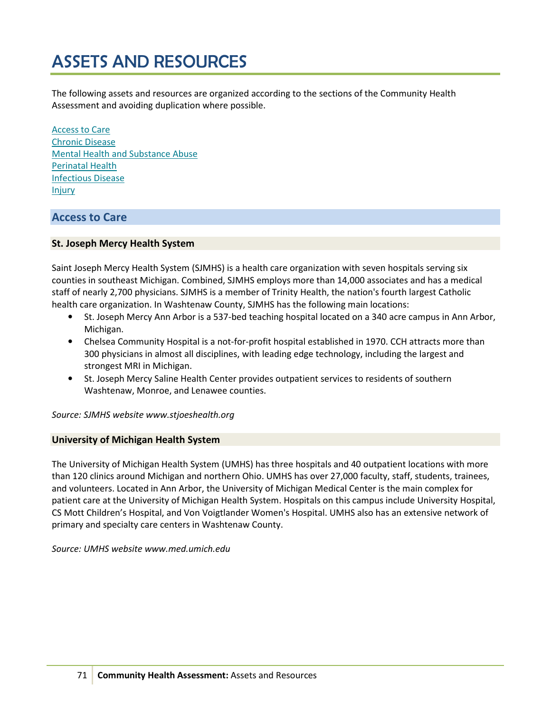# ASSETS AND RESOURCES

The following assets and resources are organized according to the sections of the Community Health Assessment and avoiding duplication where possible.

Access to Care Chronic Disease Mental Health and Substance Abuse Perinatal Health Infectious Disease Injury

# Access to Care

# St. Joseph Mercy Health System

Saint Joseph Mercy Health System (SJMHS) is a health care organization with seven hospitals serving six counties in southeast Michigan. Combined, SJMHS employs more than 14,000 associates and has a medical staff of nearly 2,700 physicians. SJMHS is a member of Trinity Health, the nation's fourth largest Catholic health care organization. In Washtenaw County, SJMHS has the following main locations:

- St. Joseph Mercy Ann Arbor is a 537-bed teaching hospital located on a 340 acre campus in Ann Arbor, Michigan.
- Chelsea Community Hospital is a not-for-profit hospital established in 1970. CCH attracts more than 300 physicians in almost all disciplines, with leading edge technology, including the largest and strongest MRI in Michigan.
- St. Joseph Mercy Saline Health Center provides outpatient services to residents of southern Washtenaw, Monroe, and Lenawee counties.

Source: SJMHS website www.stjoeshealth.org

## University of Michigan Health System

The University of Michigan Health System (UMHS) has three hospitals and 40 outpatient locations with more than 120 clinics around Michigan and northern Ohio. UMHS has over 27,000 faculty, staff, students, trainees, and volunteers. Located in Ann Arbor, the University of Michigan Medical Center is the main complex for patient care at the University of Michigan Health System. Hospitals on this campus include University Hospital, CS Mott Children's Hospital, and Von Voigtlander Women's Hospital. UMHS also has an extensive network of primary and specialty care centers in Washtenaw County.

Source: UMHS website www.med.umich.edu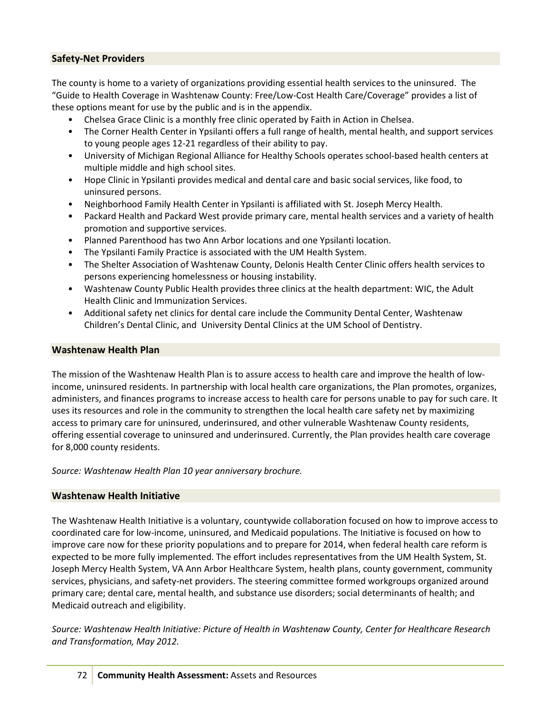# Safety-Net Providers

The county is home to a variety of organizations providing essential health services to the uninsured. The "Guide to Health Coverage in Washtenaw County: Free/Low-Cost Health Care/Coverage" provides a list of these options meant for use by the public and is in the appendix.

- Chelsea Grace Clinic is a monthly free clinic operated by Faith in Action in Chelsea.
- The Corner Health Center in Ypsilanti offers a full range of health, mental health, and support services to young people ages 12-21 regardless of their ability to pay.
- University of Michigan Regional Alliance for Healthy Schools operates school-based health centers at multiple middle and high school sites.
- Hope Clinic in Ypsilanti provides medical and dental care and basic social services, like food, to uninsured persons.
- Neighborhood Family Health Center in Ypsilanti is affiliated with St. Joseph Mercy Health.
- Packard Health and Packard West provide primary care, mental health services and a variety of health promotion and supportive services.
- Planned Parenthood has two Ann Arbor locations and one Ypsilanti location.
- The Ypsilanti Family Practice is associated with the UM Health System.
- The Shelter Association of Washtenaw County, Delonis Health Center Clinic offers health services to persons experiencing homelessness or housing instability.
- Washtenaw County Public Health provides three clinics at the health department: WIC, the Adult Health Clinic and Immunization Services.
- Additional safety net clinics for dental care include the Community Dental Center, Washtenaw Children's Dental Clinic, and University Dental Clinics at the UM School of Dentistry.

#### Washtenaw Health Plan

The mission of the Washtenaw Health Plan is to assure access to health care and improve the health of lowincome, uninsured residents. In partnership with local health care organizations, the Plan promotes, organizes, administers, and finances programs to increase access to health care for persons unable to pay for such care. It uses its resources and role in the community to strengthen the local health care safety net by maximizing access to primary care for uninsured, underinsured, and other vulnerable Washtenaw County residents, offering essential coverage to uninsured and underinsured. Currently, the Plan provides health care coverage for 8,000 county residents.

Source: Washtenaw Health Plan 10 year anniversary brochure.

#### Washtenaw Health Initiative

The Washtenaw Health Initiative is a voluntary, countywide collaboration focused on how to improve access to coordinated care for low-income, uninsured, and Medicaid populations. The Initiative is focused on how to improve care now for these priority populations and to prepare for 2014, when federal health care reform is expected to be more fully implemented. The effort includes representatives from the UM Health System, St. Joseph Mercy Health System, VA Ann Arbor Healthcare System, health plans, county government, community services, physicians, and safety-net providers. The steering committee formed workgroups organized around primary care; dental care, mental health, and substance use disorders; social determinants of health; and Medicaid outreach and eligibility.

Source: Washtenaw Health Initiative: Picture of Health in Washtenaw County, Center for Healthcare Research and Transformation, May 2012.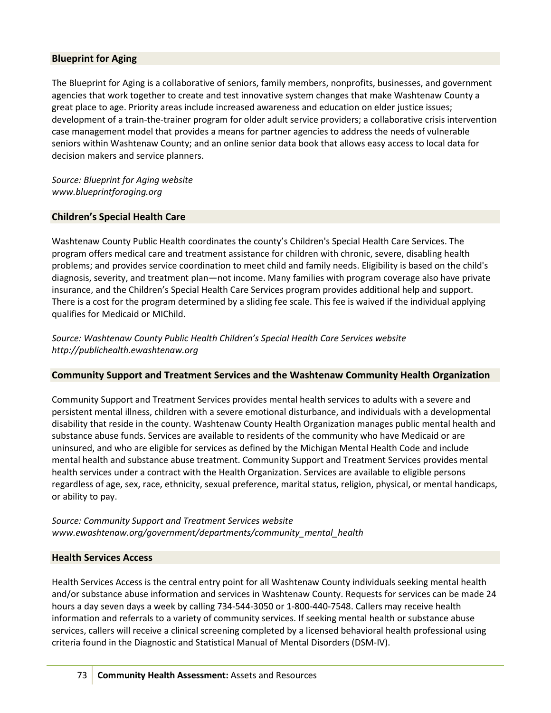## Blueprint for Aging

The Blueprint for Aging is a collaborative of seniors, family members, nonprofits, businesses, and government agencies that work together to create and test innovative system changes that make Washtenaw County a great place to age. Priority areas include increased awareness and education on elder justice issues; development of a train-the-trainer program for older adult service providers; a collaborative crisis intervention case management model that provides a means for partner agencies to address the needs of vulnerable seniors within Washtenaw County; and an online senior data book that allows easy access to local data for decision makers and service planners.

Source: Blueprint for Aging website www.blueprintforaging.org

#### Children's Special Health Care

Washtenaw County Public Health coordinates the county's Children's Special Health Care Services. The program offers medical care and treatment assistance for children with chronic, severe, disabling health problems; and provides service coordination to meet child and family needs. Eligibility is based on the child's diagnosis, severity, and treatment plan—not income. Many families with program coverage also have private insurance, and the Children's Special Health Care Services program provides additional help and support. There is a cost for the program determined by a sliding fee scale. This fee is waived if the individual applying qualifies for Medicaid or MIChild.

Source: Washtenaw County Public Health Children's Special Health Care Services website http://publichealth.ewashtenaw.org

## Community Support and Treatment Services and the Washtenaw Community Health Organization

Community Support and Treatment Services provides mental health services to adults with a severe and persistent mental illness, children with a severe emotional disturbance, and individuals with a developmental disability that reside in the county. Washtenaw County Health Organization manages public mental health and substance abuse funds. Services are available to residents of the community who have Medicaid or are uninsured, and who are eligible for services as defined by the Michigan Mental Health Code and include mental health and substance abuse treatment. Community Support and Treatment Services provides mental health services under a contract with the Health Organization. Services are available to eligible persons regardless of age, sex, race, ethnicity, sexual preference, marital status, religion, physical, or mental handicaps, or ability to pay.

Source: Community Support and Treatment Services website www.ewashtenaw.org/government/departments/community\_mental\_health

## Health Services Access

Health Services Access is the central entry point for all Washtenaw County individuals seeking mental health and/or substance abuse information and services in Washtenaw County. Requests for services can be made 24 hours a day seven days a week by calling 734-544-3050 or 1-800-440-7548. Callers may receive health information and referrals to a variety of community services. If seeking mental health or substance abuse services, callers will receive a clinical screening completed by a licensed behavioral health professional using criteria found in the Diagnostic and Statistical Manual of Mental Disorders (DSM-IV).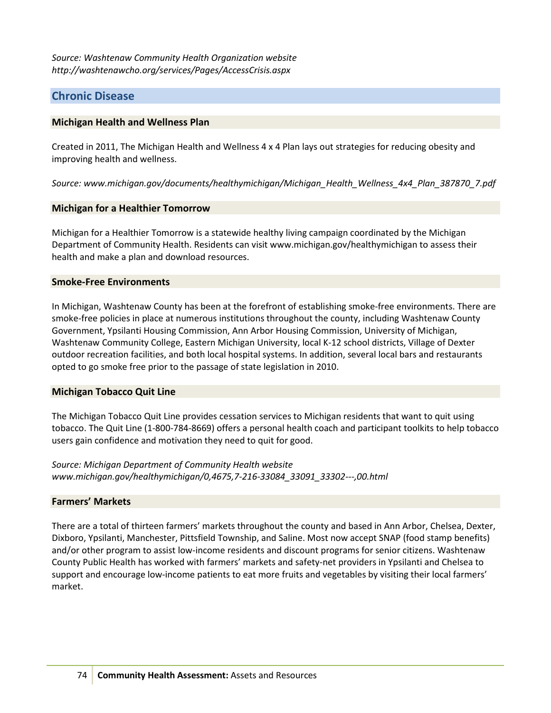Source: Washtenaw Community Health Organization website http://washtenawcho.org/services/Pages/AccessCrisis.aspx

# Chronic Disease

## Michigan Health and Wellness Plan

Created in 2011, The Michigan Health and Wellness 4 x 4 Plan lays out strategies for reducing obesity and improving health and wellness.

Source: www.michigan.gov/documents/healthymichigan/Michigan\_Health\_Wellness\_4x4\_Plan\_387870\_7.pdf

#### Michigan for a Healthier Tomorrow

Michigan for a Healthier Tomorrow is a statewide healthy living campaign coordinated by the Michigan Department of Community Health. Residents can visit www.michigan.gov/healthymichigan to assess their health and make a plan and download resources.

#### Smoke-Free Environments

In Michigan, Washtenaw County has been at the forefront of establishing smoke-free environments. There are smoke-free policies in place at numerous institutions throughout the county, including Washtenaw County Government, Ypsilanti Housing Commission, Ann Arbor Housing Commission, University of Michigan, Washtenaw Community College, Eastern Michigan University, local K-12 school districts, Village of Dexter outdoor recreation facilities, and both local hospital systems. In addition, several local bars and restaurants opted to go smoke free prior to the passage of state legislation in 2010.

#### Michigan Tobacco Quit Line

The Michigan Tobacco Quit Line provides cessation services to Michigan residents that want to quit using tobacco. The Quit Line (1-800-784-8669) offers a personal health coach and participant toolkits to help tobacco users gain confidence and motivation they need to quit for good.

Source: Michigan Department of Community Health website www.michigan.gov/healthymichigan/0,4675,7-216-33084\_33091\_33302---,00.html

## Farmers' Markets

There are a total of thirteen farmers' markets throughout the county and based in Ann Arbor, Chelsea, Dexter, Dixboro, Ypsilanti, Manchester, Pittsfield Township, and Saline. Most now accept SNAP (food stamp benefits) and/or other program to assist low-income residents and discount programs for senior citizens. Washtenaw County Public Health has worked with farmers' markets and safety-net providers in Ypsilanti and Chelsea to support and encourage low-income patients to eat more fruits and vegetables by visiting their local farmers' market.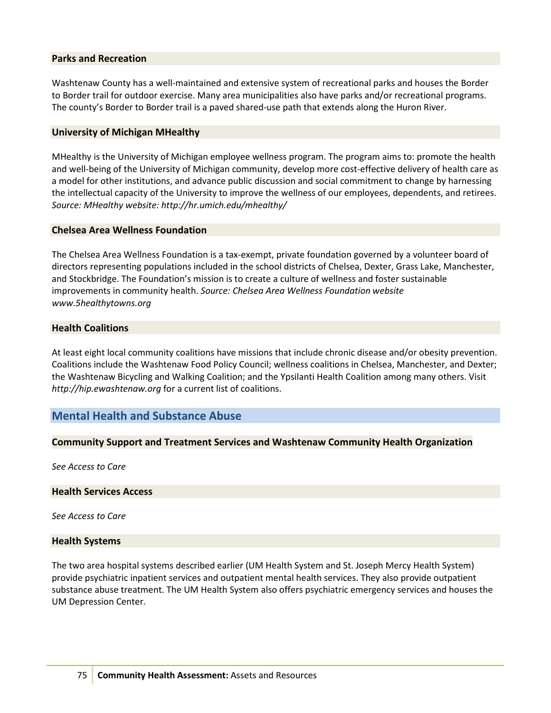#### Parks and Recreation

Washtenaw County has a well-maintained and extensive system of recreational parks and houses the Border to Border trail for outdoor exercise. Many area municipalities also have parks and/or recreational programs. The county's Border to Border trail is a paved shared-use path that extends along the Huron River.

#### University of Michigan MHealthy

MHealthy is the University of Michigan employee wellness program. The program aims to: promote the health and well-being of the University of Michigan community, develop more cost-effective delivery of health care as a model for other institutions, and advance public discussion and social commitment to change by harnessing the intellectual capacity of the University to improve the wellness of our employees, dependents, and retirees. Source: MHealthy website: http://hr.umich.edu/mhealthy/

#### Chelsea Area Wellness Foundation

The Chelsea Area Wellness Foundation is a tax-exempt, private foundation governed by a volunteer board of directors representing populations included in the school districts of Chelsea, Dexter, Grass Lake, Manchester, and Stockbridge. The Foundation's mission is to create a culture of wellness and foster sustainable improvements in community health. Source: Chelsea Area Wellness Foundation website www.5healthytowns.org

## Health Coalitions

At least eight local community coalitions have missions that include chronic disease and/or obesity prevention. Coalitions include the Washtenaw Food Policy Council; wellness coalitions in Chelsea, Manchester, and Dexter; the Washtenaw Bicycling and Walking Coalition; and the Ypsilanti Health Coalition among many others. Visit http://hip.ewashtenaw.org for a current list of coalitions.

# Mental Health and Substance Abuse

## Community Support and Treatment Services and Washtenaw Community Health Organization

See Access to Care

#### Health Services Access

See Access to Care

#### Health Systems

The two area hospital systems described earlier (UM Health System and St. Joseph Mercy Health System) provide psychiatric inpatient services and outpatient mental health services. They also provide outpatient substance abuse treatment. The UM Health System also offers psychiatric emergency services and houses the UM Depression Center.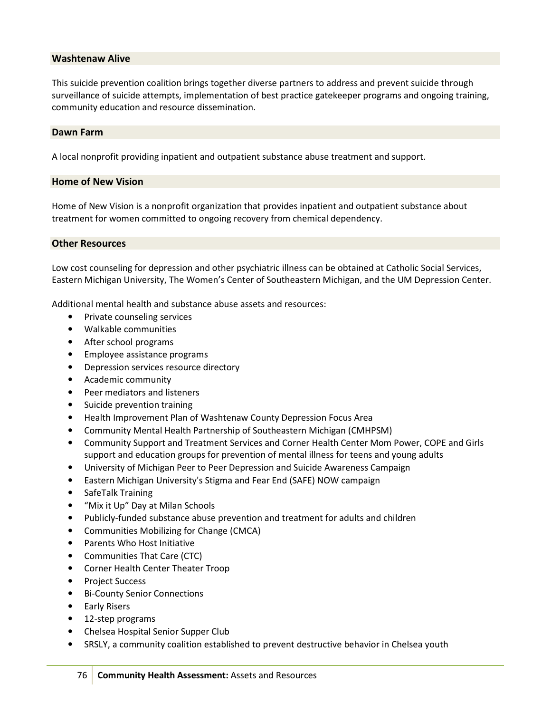## Washtenaw Alive

This suicide prevention coalition brings together diverse partners to address and prevent suicide through surveillance of suicide attempts, implementation of best practice gatekeeper programs and ongoing training, community education and resource dissemination.

#### Dawn Farm

A local nonprofit providing inpatient and outpatient substance abuse treatment and support.

#### Home of New Vision

Home of New Vision is a nonprofit organization that provides inpatient and outpatient substance about treatment for women committed to ongoing recovery from chemical dependency.

#### Other Resources

Low cost counseling for depression and other psychiatric illness can be obtained at Catholic Social Services, Eastern Michigan University, The Women's Center of Southeastern Michigan, and the UM Depression Center.

Additional mental health and substance abuse assets and resources:

- Private counseling services
- Walkable communities
- After school programs
- Employee assistance programs
- Depression services resource directory
- Academic community
- Peer mediators and listeners
- Suicide prevention training
- Health Improvement Plan of Washtenaw County Depression Focus Area
- Community Mental Health Partnership of Southeastern Michigan (CMHPSM)
- Community Support and Treatment Services and Corner Health Center Mom Power, COPE and Girls support and education groups for prevention of mental illness for teens and young adults
- University of Michigan Peer to Peer Depression and Suicide Awareness Campaign
- Eastern Michigan University's Stigma and Fear End (SAFE) NOW campaign
- SafeTalk Training
- "Mix it Up" Day at Milan Schools
- Publicly-funded substance abuse prevention and treatment for adults and children
- Communities Mobilizing for Change (CMCA)
- Parents Who Host Initiative
- Communities That Care (CTC)
- Corner Health Center Theater Troop
- Project Success
- Bi-County Senior Connections
- Early Risers
- 12-step programs
- Chelsea Hospital Senior Supper Club
- SRSLY, a community coalition established to prevent destructive behavior in Chelsea youth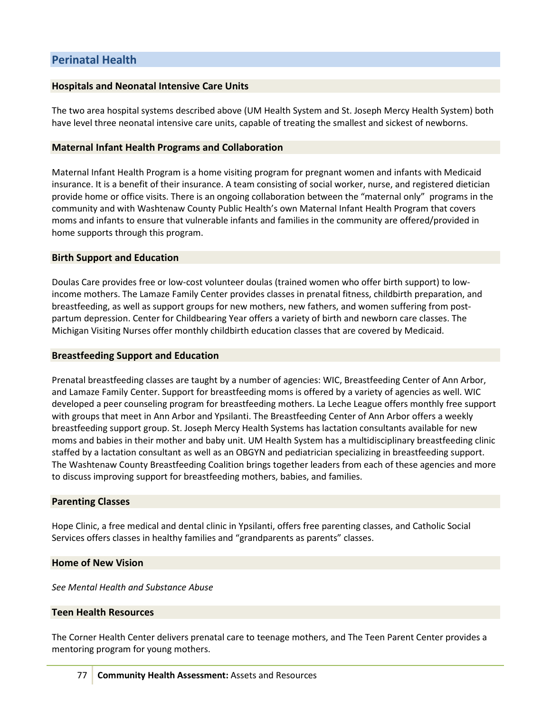# Hospitals and Neonatal Intensive Care Units

The two area hospital systems described above (UM Health System and St. Joseph Mercy Health System) both have level three neonatal intensive care units, capable of treating the smallest and sickest of newborns.

## Maternal Infant Health Programs and Collaboration

Maternal Infant Health Program is a home visiting program for pregnant women and infants with Medicaid insurance. It is a benefit of their insurance. A team consisting of social worker, nurse, and registered dietician provide home or office visits. There is an ongoing collaboration between the "maternal only" programs in the community and with Washtenaw County Public Health's own Maternal Infant Health Program that covers moms and infants to ensure that vulnerable infants and families in the community are offered/provided in home supports through this program.

#### Birth Support and Education

Doulas Care provides free or low-cost volunteer doulas (trained women who offer birth support) to lowincome mothers. The Lamaze Family Center provides classes in prenatal fitness, childbirth preparation, and breastfeeding, as well as support groups for new mothers, new fathers, and women suffering from postpartum depression. Center for Childbearing Year offers a variety of birth and newborn care classes. The Michigan Visiting Nurses offer monthly childbirth education classes that are covered by Medicaid.

#### Breastfeeding Support and Education

Prenatal breastfeeding classes are taught by a number of agencies: WIC, Breastfeeding Center of Ann Arbor, and Lamaze Family Center. Support for breastfeeding moms is offered by a variety of agencies as well. WIC developed a peer counseling program for breastfeeding mothers. La Leche League offers monthly free support with groups that meet in Ann Arbor and Ypsilanti. The Breastfeeding Center of Ann Arbor offers a weekly breastfeeding support group. St. Joseph Mercy Health Systems has lactation consultants available for new moms and babies in their mother and baby unit. UM Health System has a multidisciplinary breastfeeding clinic staffed by a lactation consultant as well as an OBGYN and pediatrician specializing in breastfeeding support. The Washtenaw County Breastfeeding Coalition brings together leaders from each of these agencies and more to discuss improving support for breastfeeding mothers, babies, and families.

## Parenting Classes

Hope Clinic, a free medical and dental clinic in Ypsilanti, offers free parenting classes, and Catholic Social Services offers classes in healthy families and "grandparents as parents" classes.

#### Home of New Vision

See Mental Health and Substance Abuse

## Teen Health Resources

The Corner Health Center delivers prenatal care to teenage mothers, and The Teen Parent Center provides a mentoring program for young mothers.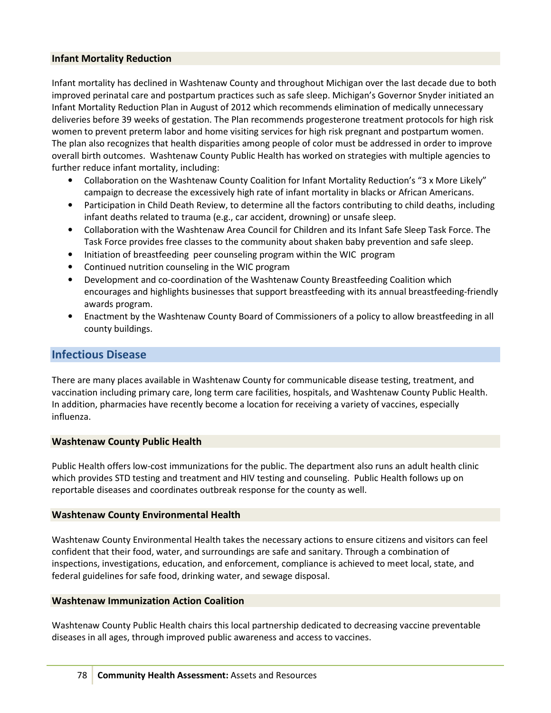## Infant Mortality Reduction

Infant mortality has declined in Washtenaw County and throughout Michigan over the last decade due to both improved perinatal care and postpartum practices such as safe sleep. Michigan's Governor Snyder initiated an Infant Mortality Reduction Plan in August of 2012 which recommends elimination of medically unnecessary deliveries before 39 weeks of gestation. The Plan recommends progesterone treatment protocols for high risk women to prevent preterm labor and home visiting services for high risk pregnant and postpartum women. The plan also recognizes that health disparities among people of color must be addressed in order to improve overall birth outcomes. Washtenaw County Public Health has worked on strategies with multiple agencies to further reduce infant mortality, including:

- Collaboration on the Washtenaw County Coalition for Infant Mortality Reduction's "3 x More Likely" campaign to decrease the excessively high rate of infant mortality in blacks or African Americans.
- Participation in Child Death Review, to determine all the factors contributing to child deaths, including infant deaths related to trauma (e.g., car accident, drowning) or unsafe sleep.
- Collaboration with the Washtenaw Area Council for Children and its Infant Safe Sleep Task Force. The Task Force provides free classes to the community about shaken baby prevention and safe sleep.
- Initiation of breastfeeding peer counseling program within the WIC program
- Continued nutrition counseling in the WIC program
- Development and co-coordination of the Washtenaw County Breastfeeding Coalition which encourages and highlights businesses that support breastfeeding with its annual breastfeeding-friendly awards program.
- Enactment by the Washtenaw County Board of Commissioners of a policy to allow breastfeeding in all county buildings.

# Infectious Disease

There are many places available in Washtenaw County for communicable disease testing, treatment, and vaccination including primary care, long term care facilities, hospitals, and Washtenaw County Public Health. In addition, pharmacies have recently become a location for receiving a variety of vaccines, especially influenza.

## Washtenaw County Public Health

Public Health offers low-cost immunizations for the public. The department also runs an adult health clinic which provides STD testing and treatment and HIV testing and counseling. Public Health follows up on reportable diseases and coordinates outbreak response for the county as well.

## Washtenaw County Environmental Health

Washtenaw County Environmental Health takes the necessary actions to ensure citizens and visitors can feel confident that their food, water, and surroundings are safe and sanitary. Through a combination of inspections, investigations, education, and enforcement, compliance is achieved to meet local, state, and federal guidelines for safe food, drinking water, and sewage disposal.

## Washtenaw Immunization Action Coalition

Washtenaw County Public Health chairs this local partnership dedicated to decreasing vaccine preventable diseases in all ages, through improved public awareness and access to vaccines.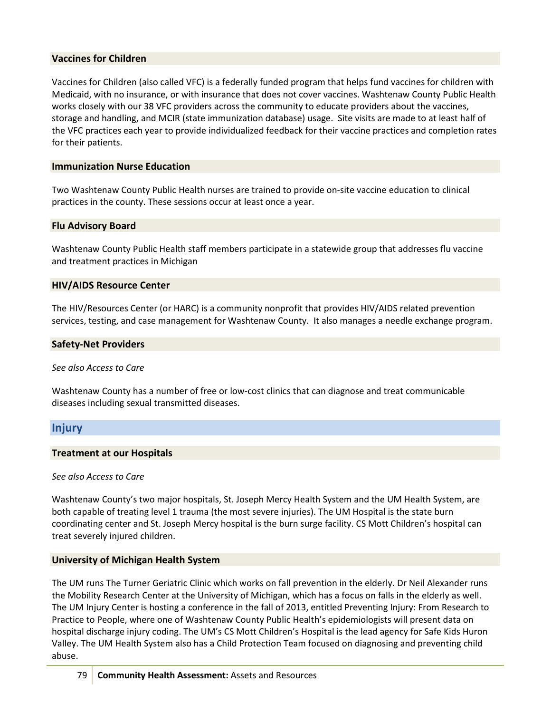## Vaccines for Children

Vaccines for Children (also called VFC) is a federally funded program that helps fund vaccines for children with Medicaid, with no insurance, or with insurance that does not cover vaccines. Washtenaw County Public Health works closely with our 38 VFC providers across the community to educate providers about the vaccines, storage and handling, and MCIR (state immunization database) usage. Site visits are made to at least half of the VFC practices each year to provide individualized feedback for their vaccine practices and completion rates for their patients.

## Immunization Nurse Education

Two Washtenaw County Public Health nurses are trained to provide on-site vaccine education to clinical practices in the county. These sessions occur at least once a year.

## Flu Advisory Board

Washtenaw County Public Health staff members participate in a statewide group that addresses flu vaccine and treatment practices in Michigan

#### HIV/AIDS Resource Center

The HIV/Resources Center (or HARC) is a community nonprofit that provides HIV/AIDS related prevention services, testing, and case management for Washtenaw County. It also manages a needle exchange program.

#### Safety-Net Providers

#### See also Access to Care

Washtenaw County has a number of free or low-cost clinics that can diagnose and treat communicable diseases including sexual transmitted diseases.

# Injury

#### Treatment at our Hospitals

#### See also Access to Care

Washtenaw County's two major hospitals, St. Joseph Mercy Health System and the UM Health System, are both capable of treating level 1 trauma (the most severe injuries). The UM Hospital is the state burn coordinating center and St. Joseph Mercy hospital is the burn surge facility. CS Mott Children's hospital can treat severely injured children.

## University of Michigan Health System

The UM runs The Turner Geriatric Clinic which works on fall prevention in the elderly. Dr Neil Alexander runs the Mobility Research Center at the University of Michigan, which has a focus on falls in the elderly as well. The UM Injury Center is hosting a conference in the fall of 2013, entitled Preventing Injury: From Research to Practice to People, where one of Washtenaw County Public Health's epidemiologists will present data on hospital discharge injury coding. The UM's CS Mott Children's Hospital is the lead agency for Safe Kids Huron Valley. The UM Health System also has a Child Protection Team focused on diagnosing and preventing child abuse.